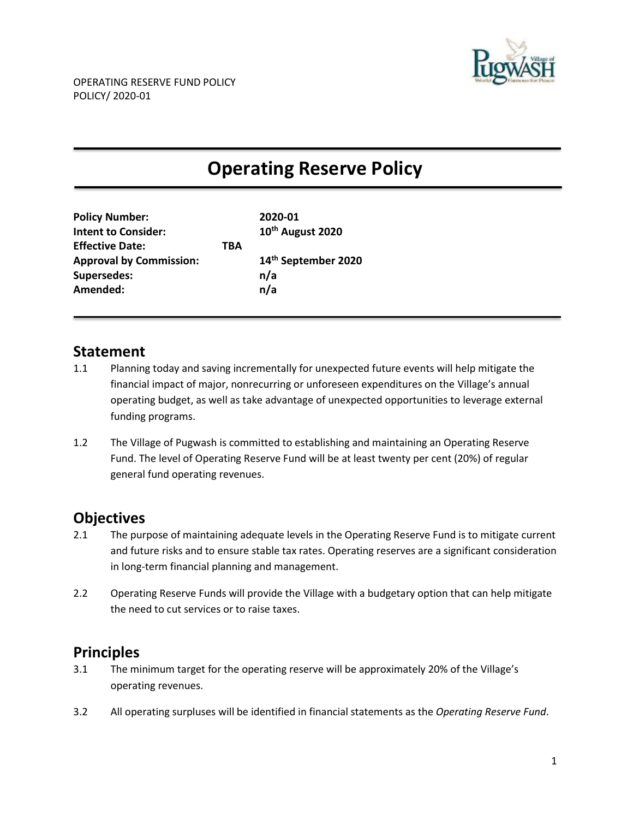

# **Operating Reserve Policy**

| <b>Policy Number:</b>          |     | 2020-01                      |
|--------------------------------|-----|------------------------------|
| <b>Intent to Consider:</b>     |     | 10 <sup>th</sup> August 2020 |
| <b>Effective Date:</b>         | TBA |                              |
| <b>Approval by Commission:</b> |     | 14th September 2020          |
| <b>Supersedes:</b>             |     | n/a                          |
| Amended:                       |     | n/a                          |
|                                |     |                              |

#### **Statement**

- 1.1 Planning today and saving incrementally for unexpected future events will help mitigate the financial impact of major, nonrecurring or unforeseen expenditures on the Village's annual operating budget, as well as take advantage of unexpected opportunities to leverage external funding programs.
- 1.2 The Village of Pugwash is committed to establishing and maintaining an Operating Reserve Fund. The level of Operating Reserve Fund will be at least twenty per cent (20%) of regular general fund operating revenues.

# **Objectives**

- 2.1 The purpose of maintaining adequate levels in the Operating Reserve Fund is to mitigate current and future risks and to ensure stable tax rates. Operating reserves are a significant consideration in long-term financial planning and management.
- 2.2 Operating Reserve Funds will provide the Village with a budgetary option that can help mitigate the need to cut services or to raise taxes.

# **Principles**

- 3.1 The minimum target for the operating reserve will be approximately 20% of the Village's operating revenues.
- 3.2 All operating surpluses will be identified in financial statements as the *Operating Reserve Fund*.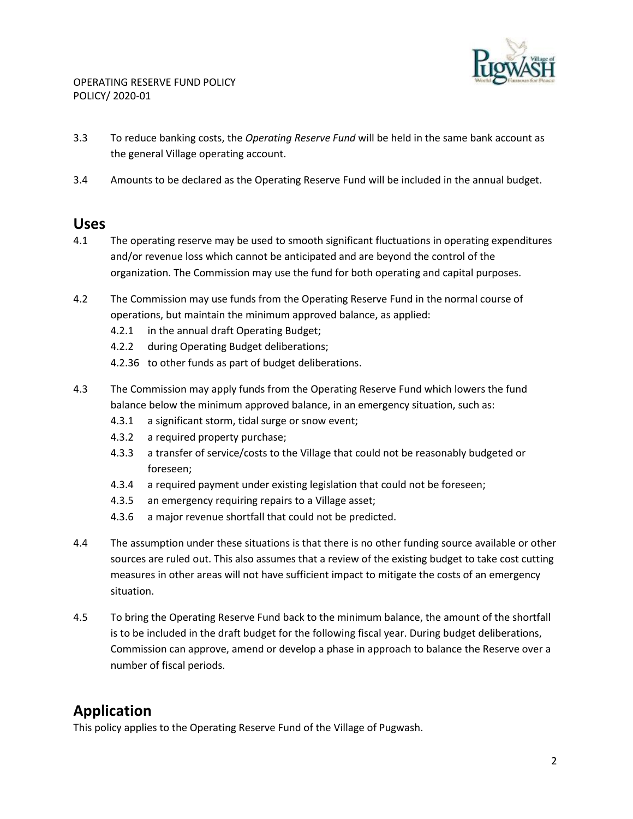

- 3.3 To reduce banking costs, the *Operating Reserve Fund* will be held in the same bank account as the general Village operating account.
- 3.4 Amounts to be declared as the Operating Reserve Fund will be included in the annual budget.

#### **Uses**

- 4.1 The operating reserve may be used to smooth significant fluctuations in operating expenditures and/or revenue loss which cannot be anticipated and are beyond the control of the organization. The Commission may use the fund for both operating and capital purposes.
- 4.2 The Commission may use funds from the Operating Reserve Fund in the normal course of operations, but maintain the minimum approved balance, as applied:
	- 4.2.1 in the annual draft Operating Budget;
	- 4.2.2 during Operating Budget deliberations;
	- 4.2.36 to other funds as part of budget deliberations.
- 4.3 The Commission may apply funds from the Operating Reserve Fund which lowers the fund balance below the minimum approved balance, in an emergency situation, such as:
	- 4.3.1 a significant storm, tidal surge or snow event;
	- 4.3.2 a required property purchase;
	- 4.3.3 a transfer of service/costs to the Village that could not be reasonably budgeted or foreseen;
	- 4.3.4 a required payment under existing legislation that could not be foreseen;
	- 4.3.5 an emergency requiring repairs to a Village asset;
	- 4.3.6 a major revenue shortfall that could not be predicted.
- 4.4 The assumption under these situations is that there is no other funding source available or other sources are ruled out. This also assumes that a review of the existing budget to take cost cutting measures in other areas will not have sufficient impact to mitigate the costs of an emergency situation.
- 4.5 To bring the Operating Reserve Fund back to the minimum balance, the amount of the shortfall is to be included in the draft budget for the following fiscal year. During budget deliberations, Commission can approve, amend or develop a phase in approach to balance the Reserve over a number of fiscal periods.

### **Application**

This policy applies to the Operating Reserve Fund of the Village of Pugwash.